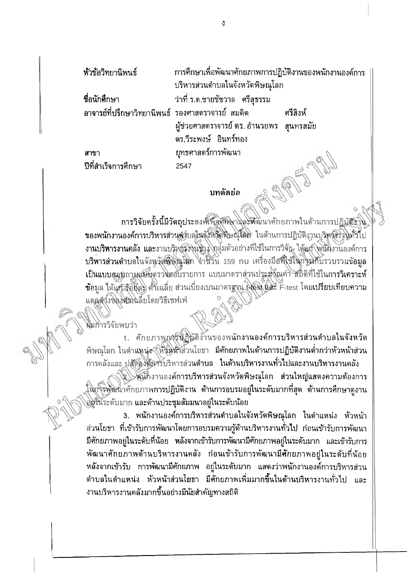| หัวข้อวิทยานิพนธ์                                  | การศึกษาเพื่อพัฒนาศักยภาพการปฏิบัติงานของพนักงานองค์การ |          |
|----------------------------------------------------|---------------------------------------------------------|----------|
|                                                    | บริหารส่วนตำบลในจังหวัดพิษณุโลก                         |          |
| ชื่อนักศึกษา                                       | ว่าที่ ร.ต.ชายชัชวาล   ศรีสุธรรม                        |          |
| ่ อาจารย์ที่ปรึกษาวิทยานิพนธ์ รองศาสตราจารย์ สมคิด |                                                         | ศรีสิงห์ |
|                                                    | ผู้ช่วยศาสตราจารย์ ดร. อำนวยพร   สุนทรสมัย              |          |
|                                                    | ดร.วีระพงษ์ อินทร์ทอง                                   |          |
| สาขา                                               | ยุทธศาสตร์การพัฒนา                                      |          |
| ปีที่สำเร็จการศึกษา                                | 2547                                                    |          |

## บทคัดย่อ

กา**รวิจัยครั้งนี้มีวัดถุประ**สงศ์พืชศ์มิน ปละทั้งนาศักยภาพในด้านการปฏิบั<del>ดิง</del>าิน ของพนักงานองค์การบริหารส่วนดูวิบลในจังหวัดพิษณุโลก ในด้านการปฏิบัติงานบริหลังวินทั่วไป งานบริหารงานคลัง และงานบริหารังงูนชาง กลุ่มตัวอย่างที่ใช้ในการวิจัย ได้แก้ พินักงานองค์การ บริหารส่วนตำบลในจังหรัดพิษัญโลก จำนวัน <sub>159 nu เครื่องมือที่ใช้ในกิ่งมีกับรวบรวมข้อมูล</sub> เป็นแบบสอบถามแบ๊นดรวงสอบรายการ แบบมาตราส่วนประสังฌค่า สถิติที่ใช้ในการวิเคราะห์ ข้อมูล ได้แก้ รับช็ละ ศ์ที่เฉลี่ย ส่วนเบี่ยงเบนมาตรฐาน เจอร์เ และ F-test โดยเปรียบเทียบความ แดลตู้งั่งของศักรณ์อียโดยวิธีเชฟเฟ่

ผลการวิจัยพบว่า

1. ศักยภาพการฟิฏิบัติงานของพนักงานองค์การบริหารส่วนตำบลในจังหวัด พิษณุโลก ในตำแหน่ง (หั้สุที่หัวส่วนโยธา มีศักยภาพในด้านการปฏิบัติงานดำกว่าหัวหน้าส่วน การคลังและ ปสัตติงสัตวรับริหารส่วนดำบล ในด้านบริหารงานทั่วไปและงานบริหารงานคลัง

?.∑พันกงานองค์ก<mark>ารบริหารส่วนจังหวัดพิษณุโลก ส่วนใหญ่แส</mark>ดงความต้องการ ในกรรพัฒน้าศักยภาพการปฏิบัติงาน ด้านการอบรมอยู่ในระดับมากที่สุด ด้านการศึกษาดูงาน อิยู่ในระดับมาก และด้านประชุมสัมมนาอยู่ในระดับน้อย

3. พนักงานองค์การบริหารส่วนตำบลในจังหวัดพิษณุโลก ในตำแหน่ง หัวหน้า ส่วนโยธา ที่เข้ารับการพัฒนาโดยการอบรมความรู้ด้านบริหารงานทั่วไป ก่อนเข้ารับการพัฒนา มีศักยภาพอยู่ในระดับที่น้อย หลังจากเข้ารับการพัฒนามีศักยภาพอยู่ในระดับมาก และเข้ารับการ พัฒนาศักยภาพด้านบริหารงานคลัง ก่อนเข้ารับการพัฒนามี**ศั**กยภาพอยู่ในระดับที่น้อย หลังจากเข้ารับ การพัฒนามีศักยภาพ อยู่ในระดับมาก แสดงว่าพนักงานองค์การบริหารส่วน ดำบลในดำแหน่ง หัวหน้าส่วนโยธา มีศักยภาพเพิ่มมากขึ้นในด้านบริหารงานทั่วไป และ งานบริหารงานคลังมากขึ้นอย่างมีนัยสำคัญทางสถิติ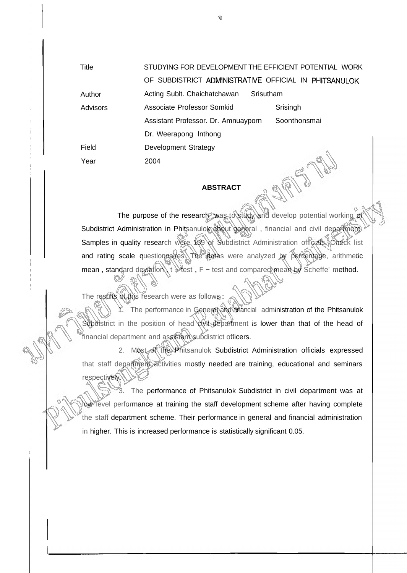| Title    | STUDYING FOR DEVELOPMENT THE EFFICIENT POTENTIAL WORK |              |  |
|----------|-------------------------------------------------------|--------------|--|
|          | OF SUBDISTRICT ADMINISTRATIVE OFFICIAL IN PHITSANULOK |              |  |
| Author   | Srisutham<br>Acting Sublt. Chaichatchawan             |              |  |
| Advisors | Associate Professor Somkid                            | Srisingh     |  |
|          | Assistant Professor. Dr. Amnuayporn                   | Soonthonsmai |  |
|          | Dr. Weerapong Inthong                                 |              |  |
| Field    | <b>Development Strategy</b>                           |              |  |
| Year     | 2004                                                  |              |  |

## **ABSTRACT**

The purpose of the research was to study and develop potential working of Subdistrict Administration in Phitsanulok about general, financial and civil department. Samples in quality research were 159 of Subdistrict Administration officials. Check list and rating scale questionnaires. The datas were analyzed by percentage, arithmetic mean, standard deviation,  $t \searrow$  test,  $F$  - test and compared mean, by Scheffe' method.

The restits of this research were as follows:

The performance in General and financial administration of the Phitsanulok Subdistrict in the position of head divil department is lower than that of the head of financial department and assistant subdistrict officers.

2. Most of the Phitsanulok Subdistrict Administration officials expressed that staff department activities mostly needed are training, educational and seminars respectively.

The performance of Phitsanulok Subdistrict in civil department was at low level performance at training the staff development scheme after having complete the staff department scheme. Their performance in general and financial administration in higher. This is increased performance is statistically significant 0.05.

จ